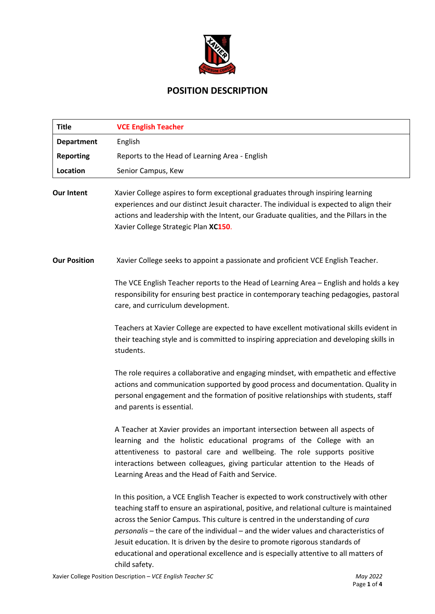

# **POSITION DESCRIPTION**

| <b>Title</b>        | <b>VCE English Teacher</b>                                                                                                                                                                                                                                                                                                                                                                                                                                                                                                                             |  |
|---------------------|--------------------------------------------------------------------------------------------------------------------------------------------------------------------------------------------------------------------------------------------------------------------------------------------------------------------------------------------------------------------------------------------------------------------------------------------------------------------------------------------------------------------------------------------------------|--|
| <b>Department</b>   | English                                                                                                                                                                                                                                                                                                                                                                                                                                                                                                                                                |  |
| <b>Reporting</b>    | Reports to the Head of Learning Area - English                                                                                                                                                                                                                                                                                                                                                                                                                                                                                                         |  |
| Location            | Senior Campus, Kew                                                                                                                                                                                                                                                                                                                                                                                                                                                                                                                                     |  |
| <b>Our Intent</b>   | Xavier College aspires to form exceptional graduates through inspiring learning<br>experiences and our distinct Jesuit character. The individual is expected to align their<br>actions and leadership with the Intent, our Graduate qualities, and the Pillars in the<br>Xavier College Strategic Plan XC150.                                                                                                                                                                                                                                          |  |
| <b>Our Position</b> | Xavier College seeks to appoint a passionate and proficient VCE English Teacher.                                                                                                                                                                                                                                                                                                                                                                                                                                                                       |  |
|                     | The VCE English Teacher reports to the Head of Learning Area - English and holds a key<br>responsibility for ensuring best practice in contemporary teaching pedagogies, pastoral<br>care, and curriculum development.                                                                                                                                                                                                                                                                                                                                 |  |
|                     | Teachers at Xavier College are expected to have excellent motivational skills evident in<br>their teaching style and is committed to inspiring appreciation and developing skills in<br>students.                                                                                                                                                                                                                                                                                                                                                      |  |
|                     | The role requires a collaborative and engaging mindset, with empathetic and effective<br>actions and communication supported by good process and documentation. Quality in<br>personal engagement and the formation of positive relationships with students, staff<br>and parents is essential.                                                                                                                                                                                                                                                        |  |
|                     | A Teacher at Xavier provides an important intersection between all aspects of<br>learning and the holistic educational programs of the College with an<br>attentiveness to pastoral care and wellbeing. The role supports positive<br>interactions between colleagues, giving particular attention to the Heads of<br>Learning Areas and the Head of Faith and Service.                                                                                                                                                                                |  |
|                     | In this position, a VCE English Teacher is expected to work constructively with other<br>teaching staff to ensure an aspirational, positive, and relational culture is maintained<br>across the Senior Campus. This culture is centred in the understanding of cura<br>personalis - the care of the individual - and the wider values and characteristics of<br>Jesuit education. It is driven by the desire to promote rigorous standards of<br>educational and operational excellence and is especially attentive to all matters of<br>child safety. |  |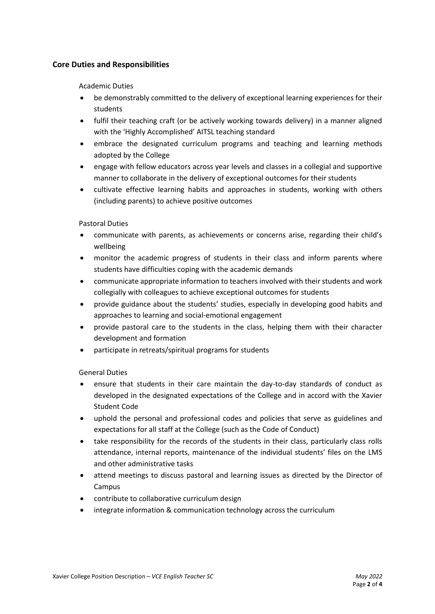# **Core Duties and Responsibilities**

## Academic Duties

- be demonstrably committed to the delivery of exceptional learning experiences for their students
- fulfil their teaching craft (or be actively working towards delivery) in a manner aligned with the 'Highly Accomplished' AITSL teaching standard
- embrace the designated curriculum programs and teaching and learning methods adopted by the College
- engage with fellow educators across year levels and classes in a collegial and supportive manner to collaborate in the delivery of exceptional outcomes for their students
- cultivate effective learning habits and approaches in students, working with others (including parents) to achieve positive outcomes

#### Pastoral Duties

- communicate with parents, as achievements or concerns arise, regarding their child's wellbeing
- monitor the academic progress of students in their class and inform parents where students have difficulties coping with the academic demands
- communicate appropriate information to teachers involved with their students and work collegially with colleagues to achieve exceptional outcomes for students
- provide guidance about the students' studies, especially in developing good habits and approaches to learning and social-emotional engagement
- provide pastoral care to the students in the class, helping them with their character development and formation
- participate in retreats/spiritual programs for students

## General Duties

- ensure that students in their care maintain the day-to-day standards of conduct as developed in the designated expectations of the College and in accord with the Xavier Student Code
- uphold the personal and professional codes and policies that serve as guidelines and expectations for all staff at the College (such as the Code of Conduct)
- take responsibility for the records of the students in their class, particularly class rolls attendance, internal reports, maintenance of the individual students' files on the LMS and other administrative tasks
- attend meetings to discuss pastoral and learning issues as directed by the Director of Campus
- contribute to collaborative curriculum design
- integrate information & communication technology across the curriculum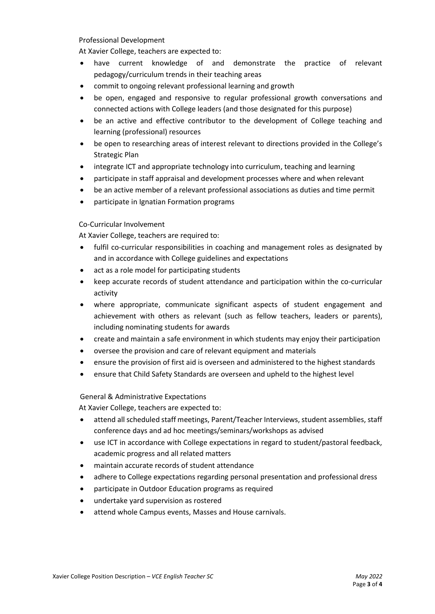#### Professional Development

At Xavier College, teachers are expected to:

- have current knowledge of and demonstrate the practice of relevant pedagogy/curriculum trends in their teaching areas
- commit to ongoing relevant professional learning and growth
- be open, engaged and responsive to regular professional growth conversations and connected actions with College leaders (and those designated for this purpose)
- be an active and effective contributor to the development of College teaching and learning (professional) resources
- be open to researching areas of interest relevant to directions provided in the College's Strategic Plan
- integrate ICT and appropriate technology into curriculum, teaching and learning
- participate in staff appraisal and development processes where and when relevant
- be an active member of a relevant professional associations as duties and time permit
- participate in Ignatian Formation programs

## Co-Curricular Involvement

At Xavier College, teachers are required to:

- fulfil co-curricular responsibilities in coaching and management roles as designated by and in accordance with College guidelines and expectations
- act as a role model for participating students
- keep accurate records of student attendance and participation within the co-curricular activity
- where appropriate, communicate significant aspects of student engagement and achievement with others as relevant (such as fellow teachers, leaders or parents), including nominating students for awards
- create and maintain a safe environment in which students may enjoy their participation
- oversee the provision and care of relevant equipment and materials
- ensure the provision of first aid is overseen and administered to the highest standards
- ensure that Child Safety Standards are overseen and upheld to the highest level

General & Administrative Expectations

At Xavier College, teachers are expected to:

- attend all scheduled staff meetings, Parent/Teacher Interviews, student assemblies, staff conference days and ad hoc meetings/seminars/workshops as advised
- use ICT in accordance with College expectations in regard to student/pastoral feedback, academic progress and all related matters
- maintain accurate records of student attendance
- adhere to College expectations regarding personal presentation and professional dress
- participate in Outdoor Education programs as required
- undertake yard supervision as rostered
- attend whole Campus events, Masses and House carnivals.